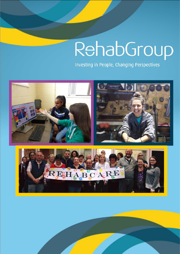# RehabGroup

Investing in People, Changing Perspectives



0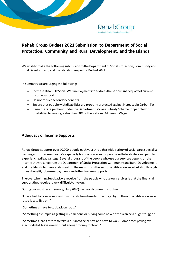

# **Rehab Group Budget 2021 Submission to Department of Social Protection, Community and Rural Development, and the Islands**

We wish to make the following submission to the Department of Social Protection, Community and Rural Development, and the Islands in respect of Budget 2021.

In summary we are urging the following:

- Increase Disability Social Welfare Payments to address the serious inadequacy of current income support
- Do not reduce secondary benefits
- Ensure that people with disabilities are properly protected against increases in Carbon Tax
- Raise the rate per hour under the Department's Wage Subsidy Scheme for people with disabilitiesto levels greater than 60% of the National Minimum Wage

## **Adequacy of Income Supports**

Rehab Group supports over 10,000 people each year through a wide variety of social care, specialist training and other services. We especially focus on services for people with disabilities and people experiencing disadvantage. Several thousand of the people who use our services depend on the income they receive from the Department of Social Protection, Community and Rural Development, and the Islands to make ends meet. In the main this is through disability allowance but also through illness benefit, jobseeker payments and other income supports.

The overwhelming feedback we receive from the people who use our services is that the financial support they receive is very difficult to live on.

During our most recent survey, (July 2020) we heard comments such as:

"I have had to borrow money from friends from time to time to get by... I think disability allowance is too low to live on."

"Sometimes I have to cut back on food."

"Something as simple as getting my hair done or buying some new clothes can be a huge struggle."

"Sometimes I can't afford to take a bus into the centre and have to walk. Sometimes paying my electricity bill leaves me without enough money for food."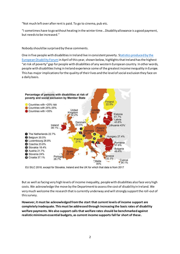"Not much left over after rent is paid. To go to cinema, pub etc.

"I sometimes have to go without heating in the winter time...Disability allowance is a good payment, but needs to be increased."

Nobody should be surprised by these comments.

One in five people with disabilities in Ireland live in consistent poverty. [Statistics produced by the](https://mcusercontent.com/865a5bbea1086c57a41cc876d/files/ad60807b-a923-4a7e-ac84-559c4a5212a8/EDF_HR_Report_final_tagged_interactive_v2_accessible.pdf)  [European Disability Forum](https://mcusercontent.com/865a5bbea1086c57a41cc876d/files/ad60807b-a923-4a7e-ac84-559c4a5212a8/EDF_HR_Report_final_tagged_interactive_v2_accessible.pdf) in April of this year, shown below, highlightsthat Ireland has the highest "at risk of poverty" gap for people with disabilities of any western European country. In other words, people with disabilities living in Ireland experience some of the greatest income inequality in Europe. This has major implications for the quality of their lives and the level of social exclusion they face on a daily basis.



EU SILC 2018, except for Slovakia, Ireland and the UK for which that data is from 2017

But as well as facing very high levels of income inequality, people with disabilities also face very high costs. We acknowledge the move by the Department to assess the cost of disability in Ireland. We very much welcome the research that is currently underway and will strongly support the roll-out of this survey.

**However, it must be acknowledged from the start that current levels of income support are completely inadequate. This must be addressed through increasing the basic rates of disability welfare payments. We also support calls that welfare rates should be benchmarked against realistic minimum essential budgets, as current income supports fall far short of these.**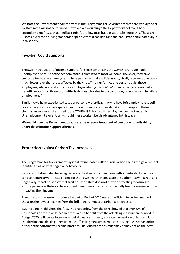We note the Government's commitment in the Programme for Government that core weekly social welfare rates will not be reduced. However, we would urge the Department not to cut back secondary benefits, such as medical cards, fuel allowance, bus passes etc, in lieu of this. These are just as crucial to the living standards of people with disabilities and their ability to participate fully in Irish society.

#### **Two-tier Covid Supports**

The swift introduction of income supports for those contracting the COVID-19 virus or made unemployed because of the economic fallout from it were most welcome. However, they have created a two-tier welfare system where persons with disabilities now typically receive support on a much lower level than those affected by the virus. This is unfair. As one person put it "those employees, who were let go by their employers during the COVID-19 pandemic, [are] awarded a benefit greater than those of us with disabilities who, due to our condition, cannot work in full-time employment."

Similarly, we have experienced cases of persons with a disability who have left employment to selfisolate because they have specific health conditions or are in an at-risk group. People in these circumstances were not entitled to the COVID-19 Enhanced Illness Payment or the Pandemic Unemployment Payment. Why should these workers be disadvantaged in this way?

**We would urge the Department to address the unequal treatment of persons with a disability under these income support schemes.** 

#### **Protection against Carbon Tax increases**

The Programme for Government says that tax increases will focus on Carbon Tax, as the government identifies it as 'a tax of negative behaviours'.

Persons with disabilities have higher central heating costs than those without a disability, as they tend to require a well-heated home for their own health. Increases in the Carbon Tax will target and negatively impact persons with disabilities if the state does not provide offsetting measures to ensure persons with disabilities can heat their homes in an environmentally friendly manner without impacting their income.

The offsetting measures introduced as part of Budget 2020 were insufficient to protect many of those on the lowest incomes from the inflationary impact of carbon tax increases.

ESRI research highlighted this fact. The chart below from the ESRI showed that over 60% of households on the lowest incomes received no benefit from the offsetting measure announced in Budget 2020 (a flat-rate increase in fuel allowance). Indeed, a greater percentage of households in the third income decile gained from the offsetting measure introduced in Budget 2020 than did in either or the bottom two income brackets. Fuel Allowanceor similarmay or may not be the best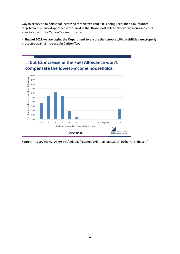way to achieve a fair offset of increased carbon taxes but if it is being used, then a much more targeted and nuanced approach is required so that those least able to absorb the increased costs associated with the Carbon Tax are protected.

**In Budget 2021 we are urging the Department to ensure that people with disabilities are properly protected against increases in Carbon Tax.**



Source: https://www.esri.ie/sites/default/files/media/file-uploads/2019-10/barra\_slides.pdf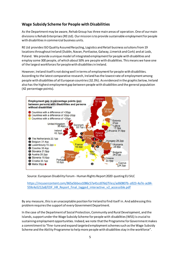## **Wage Subsidy Scheme for People with Disabilities**

As the Department may be aware, Rehab Group has three main areas of operation. One of our main divisions is Rehab Enterprises (RE Ltd). Our mission is to provide sustainable employment for people with disabilities in commercial business units.

RE Ltd provides ISO Quality Assured Recycling, Logistics and Retail business solutions from 19 locations throughout Ireland (Dublin, Navan, Portlaoise, Galway, Limerick and Cork) and at Lodz, Poland. We provide a unique model of integrated employment for people with disabilities and employ some 300 people, of which about 50% are people with disabilities. This means we have one of the largest workforces for people with disabilities in Ireland.

However, Ireland itself is not doing well in terms of employment for people with disabilities. According to the latest comparative research, Ireland has the lowest rate of employment among people with disabilities of all European countries (32.3%). As evidenced in the graphic below, Ireland also has the highest employment gap between people with disabilities and the general population (42 percentage points).



#### Source: European Disability Forum - Human Rights Report 2020 quoting EU SILC

[https://mcusercontent.com/865a5bbea1086c57a41cc876d/files/ad60807b-a923-4a7e-ac84-](https://mcusercontent.com/865a5bbea1086c57a41cc876d/files/ad60807b-a923-4a7e-ac84-559c4a5212a8/EDF_HR_Report_final_tagged_interactive_v2_accessible.pdf) [559c4a5212a8/EDF\\_HR\\_Report\\_final\\_tagged\\_interactive\\_v2\\_accessible.pdf](https://mcusercontent.com/865a5bbea1086c57a41cc876d/files/ad60807b-a923-4a7e-ac84-559c4a5212a8/EDF_HR_Report_final_tagged_interactive_v2_accessible.pdf)

By any measure, this is an unacceptable position for Ireland to find itself in. And addressing this problemrequires the support of every Government Department.

In the case of the Department of Social Protection, Community and Rural Development, and the Islands, support under the Wage Subsidy Scheme for people with disabilities (WSS) is crucial to sustaining employment opportunities. Indeed, we note that the Programme for Government makes a commitment to "fine-tune and expand targeted employment schemes such as the Wage Subsidy Scheme and the Ability Programme to help more people with disabilities stay in the workforce".